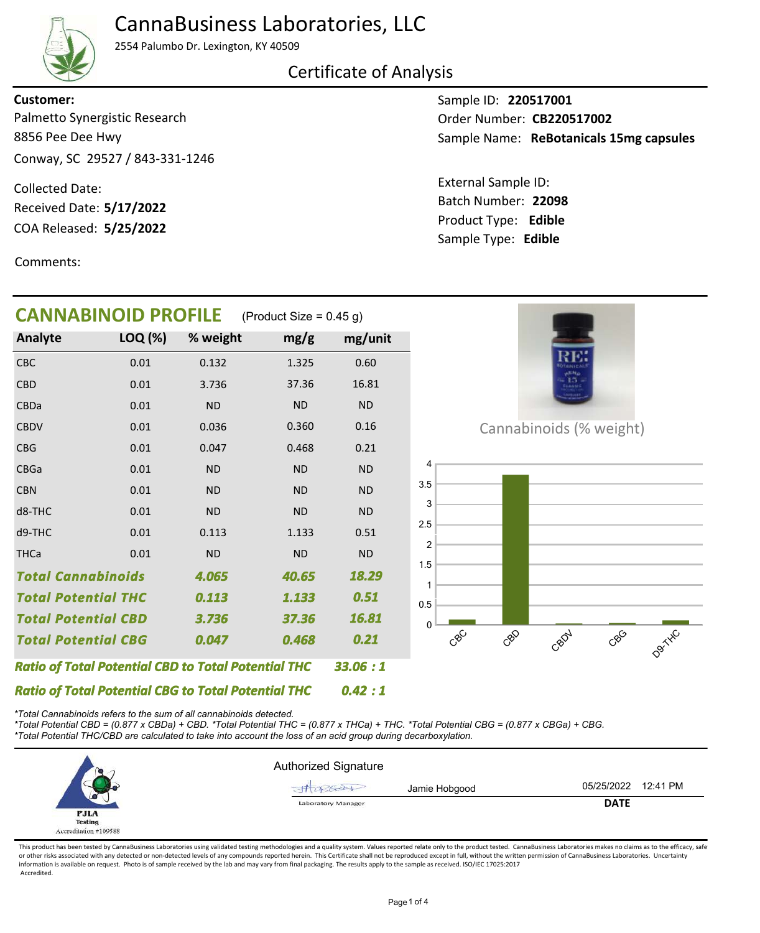

## CannaBusiness Laboratories, LLC

2554 Palumbo Dr. Lexington, KY 40509

Certificate of Analysis

8856 Pee Dee Hwy Conway, SC 29527 / 843-331-1246 Palmetto Synergistic Research **Customer:**

COA Released: Collected Date: Received Date: **5/17/2022**

Comments:

Sample ID: **220517001** Sample Name: ReBotanicals 15mg capsules Order Number: CB220517002

Product Type: **Edible 5/25/2022 22098** Batch Number: External Sample ID: Sample Type: **Edible**

| <b>CANNABINOID PROFILE</b>                                 |         |           | (Product Size = $0.45$ g) |           |
|------------------------------------------------------------|---------|-----------|---------------------------|-----------|
| Analyte                                                    | LOQ (%) | % weight  | mg/g                      | mg/unit   |
| <b>CBC</b>                                                 | 0.01    | 0.132     | 1.325                     | 0.60      |
| <b>CBD</b>                                                 | 0.01    | 3.736     | 37.36                     | 16.81     |
| CBDa                                                       | 0.01    | <b>ND</b> | <b>ND</b>                 | <b>ND</b> |
| <b>CBDV</b>                                                | 0.01    | 0.036     | 0.360                     | 0.16      |
| <b>CBG</b>                                                 | 0.01    | 0.047     | 0.468                     | 0.21      |
| <b>CBGa</b>                                                | 0.01    | <b>ND</b> | <b>ND</b>                 | <b>ND</b> |
| <b>CBN</b>                                                 | 0.01    | <b>ND</b> | <b>ND</b>                 | <b>ND</b> |
| d8-THC                                                     | 0.01    | <b>ND</b> | <b>ND</b>                 | <b>ND</b> |
| d9-THC                                                     | 0.01    | 0.113     | 1.133                     | 0.51      |
| <b>THCa</b>                                                | 0.01    | <b>ND</b> | <b>ND</b>                 | <b>ND</b> |
| <b>Total Cannabinoids</b>                                  |         | 4.065     | 40.65                     | 18.29     |
| <b>Total Potential THC</b>                                 |         | 0.113     | 1.133                     | 0.51      |
| <b>Total Potential CBD</b>                                 |         | 3.736     | 37.36                     | 16.81     |
| <b>Total Potential CBG</b>                                 |         | 0.047     | 0.468                     | 0.21      |
| <b>Ratio of Total Potential CBD to Total Potential THC</b> |         |           |                           | 33.06 : 1 |
| <b>Ratio of Total Potential CBG to Total Potential THC</b> |         |           |                           | 0.42:1    |



Cannabinoids (% weight)



*\*Total Cannabinoids refers to the sum of all cannabinoids detected.*

*\*Total Potential CBD = (0.877 x CBDa) + CBD. \*Total Potential THC = (0.877 x THCa) + THC. \*Total Potential CBG = (0.877 x CBGa) + CBG.*

*\*Total Potential THC/CBD are calculated to take into account the loss of an acid group during decarboxylation.*



This product has been tested by CannaBusiness Laboratories using validated testing methodologies and a quality system. Values reported relate only to the product tested. CannaBusiness Laboratories makes no claims as to the or other risks associated with any detected or non-detected levels of any compounds reported herein. This Certificate shall not be reproduced except in full, without the written permission of CannaBusiness Laboratories. Un information is available on request. Photo is of sample received by the lab and may vary from final packaging. The results apply to the sample as received. ISO/IEC 17025:2017 Accredited.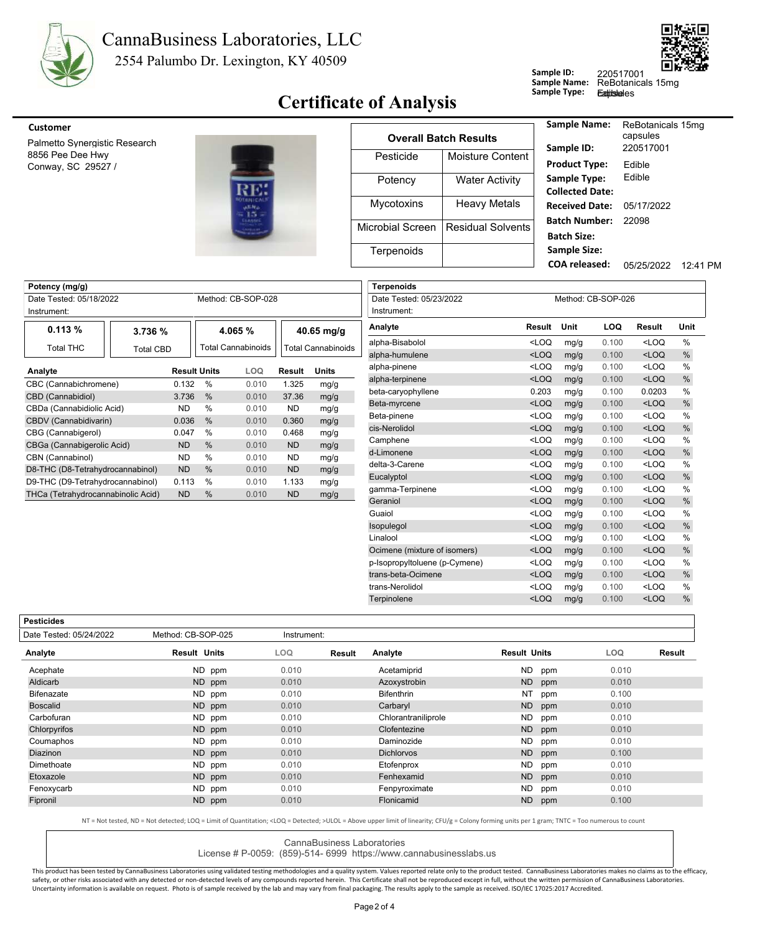



## **Certificate of Analysis**

| Sample ID:          | 220517           |
|---------------------|------------------|
| <b>Sample Name:</b> | ReBota           |
| Sample Type:        | <b>Eatitslel</b> |

anicals 15mg es

220517001

8856 Pee Dee Hwy Palmetto Synergistic Research Conway, SC 29527 /



|                   |                       | <b>Sample Name:</b>                         |
|-------------------|-----------------------|---------------------------------------------|
|                   |                       |                                             |
| Pesticide         | Moisture Content      | Sample ID:<br><b>Product Type:</b>          |
| Potency           | <b>Water Activity</b> | Sample Type:<br><b>Collected Date</b>       |
| <b>Mycotoxins</b> | <b>Heavy Metals</b>   | <b>Received Date</b>                        |
| Microbial Screen  | Residual Solvents     | <b>Batch Number</b><br><b>Batch Size:</b>   |
| Terpenoids        |                       | <b>Sample Size:</b><br><b>COA</b> released: |
|                   |                       | <b>Overall Batch Results</b>                |

| Sample Name:<br>Sample ID: | ReBotanicals 15mg<br>capsules<br>220517001 |          |
|----------------------------|--------------------------------------------|----------|
|                            |                                            |          |
| <b>Product Type:</b>       | Edible                                     |          |
| Sample Type:               | Fdible                                     |          |
| <b>Collected Date:</b>     |                                            |          |
| Received Date:             | 05/17/2022                                 |          |
| Batch Number:              | 22098                                      |          |
| <b>Batch Size:</b>         |                                            |          |
| <b>Sample Size:</b>        |                                            |          |
| COA released:              | 05/25/2022                                 | 12:41 PM |

| Potency (mg/g)                     |                  |                     |               |                           |           |                           |
|------------------------------------|------------------|---------------------|---------------|---------------------------|-----------|---------------------------|
| Date Tested: 05/18/2022            |                  |                     |               | Method: CB-SOP-028        |           |                           |
| Instrument:                        |                  |                     |               |                           |           |                           |
| 0.113%                             | 3.736 %          |                     |               | 4.065 %                   |           | $40.65$ mg/g              |
| <b>Total THC</b>                   | <b>Total CBD</b> |                     |               | <b>Total Cannabinoids</b> |           | <b>Total Cannabinoids</b> |
| Analyte                            |                  | <b>Result Units</b> |               | LOQ                       | Result    | <b>Units</b>              |
| CBC (Cannabichromene)              |                  | 0.132               | $\%$          | 0.010                     | 1.325     | mg/g                      |
| CBD (Cannabidiol)                  |                  | 3.736               | %             | 0.010                     | 37.36     | mg/g                      |
| CBDa (Cannabidiolic Acid)          |                  | ND.                 | $\%$          | 0.010                     | ND.       | mg/g                      |
| CBDV (Cannabidivarin)              |                  | 0.036               | %             | 0.010                     | 0.360     | mg/g                      |
| CBG (Cannabigerol)                 |                  | 0.047               | %             | 0.010                     | 0.468     | mg/g                      |
| CBGa (Cannabigerolic Acid)         |                  | <b>ND</b>           | $\frac{0}{0}$ | 0.010                     | <b>ND</b> | mg/g                      |
| CBN (Cannabinol)                   |                  | ND.                 | %             | 0.010                     | ND        | mg/g                      |
| D8-THC (D8-Tetrahydrocannabinol)   |                  | <b>ND</b>           | $\frac{0}{0}$ | 0.010                     | <b>ND</b> | mg/g                      |
| D9-THC (D9-Tetrahydrocannabinol)   |                  | 0.113               | $\%$          | 0.010                     | 1.133     | mg/g                      |
| THCa (Tetrahydrocannabinolic Acid) |                  | <b>ND</b>           | $\frac{0}{0}$ | 0.010                     | <b>ND</b> | mg/g                      |

| <b>Terpenoids</b>             |                                                                                                              |      |                    |                                                      |               |
|-------------------------------|--------------------------------------------------------------------------------------------------------------|------|--------------------|------------------------------------------------------|---------------|
| Date Tested: 05/23/2022       |                                                                                                              |      | Method: CB-SOP-026 |                                                      |               |
| Instrument:                   |                                                                                                              |      |                    |                                                      |               |
| Analyte                       | Result                                                                                                       | Unit | LOQ                | <b>Result</b>                                        | Unit          |
| alpha-Bisabolol               | <loq< td=""><td>mg/g</td><td>0.100</td><td><math>&lt;</math>LOO</td><td><math>\frac{0}{0}</math></td></loq<> | mg/g | 0.100              | $<$ LOO                                              | $\frac{0}{0}$ |
| alpha-humulene                | $<$ LOQ                                                                                                      | mg/g | 0.100              | $<$ LOQ                                              | $\frac{0}{0}$ |
| alpha-pinene                  | <loq< td=""><td>mg/g</td><td>0.100</td><td><loq< td=""><td><math>\frac{0}{0}</math></td></loq<></td></loq<>  | mg/g | 0.100              | <loq< td=""><td><math>\frac{0}{0}</math></td></loq<> | $\frac{0}{0}$ |
| alpha-terpinene               | $<$ LOQ                                                                                                      | mg/g | 0.100              | $<$ LOQ                                              | %             |
| beta-caryophyllene            | 0.203                                                                                                        | mg/g | 0.100              | 0.0203                                               | $\frac{0}{0}$ |
| Beta-myrcene                  | $<$ LOQ                                                                                                      | mg/g | 0.100              | $<$ LOQ                                              | %             |
| Beta-pinene                   | <loq< td=""><td>mg/g</td><td>0.100</td><td><math>&lt;</math>LOQ</td><td>%</td></loq<>                        | mg/g | 0.100              | $<$ LOQ                                              | %             |
| cis-Nerolidol                 | $<$ LOQ                                                                                                      | mg/g | 0.100              | $<$ LOQ                                              | %             |
| Camphene                      | <loq< td=""><td>mg/g</td><td>0.100</td><td><loq< td=""><td><math>\frac{0}{0}</math></td></loq<></td></loq<>  | mg/g | 0.100              | <loq< td=""><td><math>\frac{0}{0}</math></td></loq<> | $\frac{0}{0}$ |
| d-Limonene                    | $<$ LOQ                                                                                                      | mg/g | 0.100              | $<$ LOQ                                              | %             |
| delta-3-Carene                | <loq< td=""><td>mg/g</td><td>0.100</td><td><math>&lt;</math>LOQ</td><td><math>\frac{0}{0}</math></td></loq<> | mg/g | 0.100              | $<$ LOQ                                              | $\frac{0}{0}$ |
| Eucalyptol                    | $<$ LOQ                                                                                                      | mg/g | 0.100              | $<$ LOQ                                              | $\frac{0}{0}$ |
| gamma-Terpinene               | <loq< td=""><td>mg/g</td><td>0.100</td><td><math>&lt;</math>LOQ</td><td>%</td></loq<>                        | mg/g | 0.100              | $<$ LOQ                                              | %             |
| Geraniol                      | $<$ LOQ                                                                                                      | mg/g | 0.100              | $<$ LOQ                                              | %             |
| Guaiol                        | <loq< td=""><td>mg/g</td><td>0.100</td><td><loq< td=""><td><math>\frac{0}{0}</math></td></loq<></td></loq<>  | mg/g | 0.100              | <loq< td=""><td><math>\frac{0}{0}</math></td></loq<> | $\frac{0}{0}$ |
| Isopulegol                    | $<$ LOQ                                                                                                      | mg/g | 0.100              | $<$ LOQ                                              | %             |
| Linalool                      | <loq< td=""><td>mg/g</td><td>0.100</td><td><loq< td=""><td><math>\frac{0}{0}</math></td></loq<></td></loq<>  | mg/g | 0.100              | <loq< td=""><td><math>\frac{0}{0}</math></td></loq<> | $\frac{0}{0}$ |
| Ocimene (mixture of isomers)  | $<$ LOQ                                                                                                      | mg/g | 0.100              | $<$ LOQ                                              | $\%$          |
| p-Isopropyltoluene (p-Cymene) | <loq< td=""><td>mg/g</td><td>0.100</td><td><math>&lt;</math>LOQ</td><td><math>\frac{0}{0}</math></td></loq<> | mg/g | 0.100              | $<$ LOQ                                              | $\frac{0}{0}$ |
| trans-beta-Ocimene            | $<$ LOQ                                                                                                      | mg/g | 0.100              | $<$ LOQ                                              | %             |
| trans-Nerolidol               | <loq< td=""><td>mg/g</td><td>0.100</td><td><math>&lt;</math>LOQ</td><td><math>\frac{0}{0}</math></td></loq<> | mg/g | 0.100              | $<$ LOQ                                              | $\frac{0}{0}$ |
| Terpinolene                   | $<$ LOQ                                                                                                      | mg/g | 0.100              | $<$ LOQ                                              | %             |
|                               |                                                                                                              |      |                    |                                                      |               |

| tıcıd<br>s<br>e<br>14<br>۰ |
|----------------------------|
|                            |

| resuciues               |                     |             |        |                     |                     |       |        |
|-------------------------|---------------------|-------------|--------|---------------------|---------------------|-------|--------|
| Date Tested: 05/24/2022 | Method: CB-SOP-025  | Instrument: |        |                     |                     |       |        |
| Analyte                 | <b>Result Units</b> | LOQ.        | Result | Analyte             | <b>Result Units</b> | LOQ   | Result |
| Acephate                | ND ppm              | 0.010       |        | Acetamiprid         | ND<br>ppm           | 0.010 |        |
| Aldicarb                | ND ppm              | 0.010       |        | Azoxystrobin        | <b>ND</b><br>ppm    | 0.010 |        |
| Bifenazate              | ND ppm              | 0.010       |        | <b>Bifenthrin</b>   | NT<br>ppm           | 0.100 |        |
| <b>Boscalid</b>         | ND ppm              | 0.010       |        | Carbaryl            | ND<br>ppm           | 0.010 |        |
| Carbofuran              | ND ppm              | 0.010       |        | Chlorantraniliprole | ND<br>ppm           | 0.010 |        |
| Chlorpyrifos            | ND ppm              | 0.010       |        | Clofentezine        | <b>ND</b><br>ppm    | 0.010 |        |
| Coumaphos               | ND ppm              | 0.010       |        | Daminozide          | ND.<br>ppm          | 0.010 |        |
| Diazinon                | ND ppm              | 0.010       |        | <b>Dichlorvos</b>   | ND<br>ppm           | 0.100 |        |
| Dimethoate              | ND ppm              | 0.010       |        | Etofenprox          | ND.<br>ppm          | 0.010 |        |
| Etoxazole               | ND ppm              | 0.010       |        | Fenhexamid          | ND<br>ppm           | 0.010 |        |
| Fenoxycarb              | ND ppm              | 0.010       |        | Fenpyroximate       | ND.<br>ppm          | 0.010 |        |
| Fipronil                | ND ppm              | 0.010       |        | Flonicamid          | ND.<br>ppm          | 0.100 |        |
|                         |                     |             |        |                     |                     |       |        |

NT = Not tested, ND = Not detected; LOQ = Limit of Quantitation; <LOQ = Detected; >ULOL = Above upper limit of linearity; CFU/g = Colony forming units per 1 gram; TNTC = Too numerous to count

CannaBusiness Laboratories

License # P-0059: (859)-514- 6999 https://www.cannabusinesslabs.us

This product has been tested by CannaBusiness Laboratories using validated testing methodologies and a quality system. Values reported relate only to the product tested. CannaBusiness Laboratories makes no claims as to the safety, or other risks associated with any detected or non-detected levels of any compounds reported herein. This Certificate shall not be reproduced except in full, without the written permission of CannaBusiness Laborato Uncertainty information is available on request. Photo is of sample received by the lab and may vary from final packaging. The results apply to the sample as received. ISO/IEC 17025:2017 Accredited.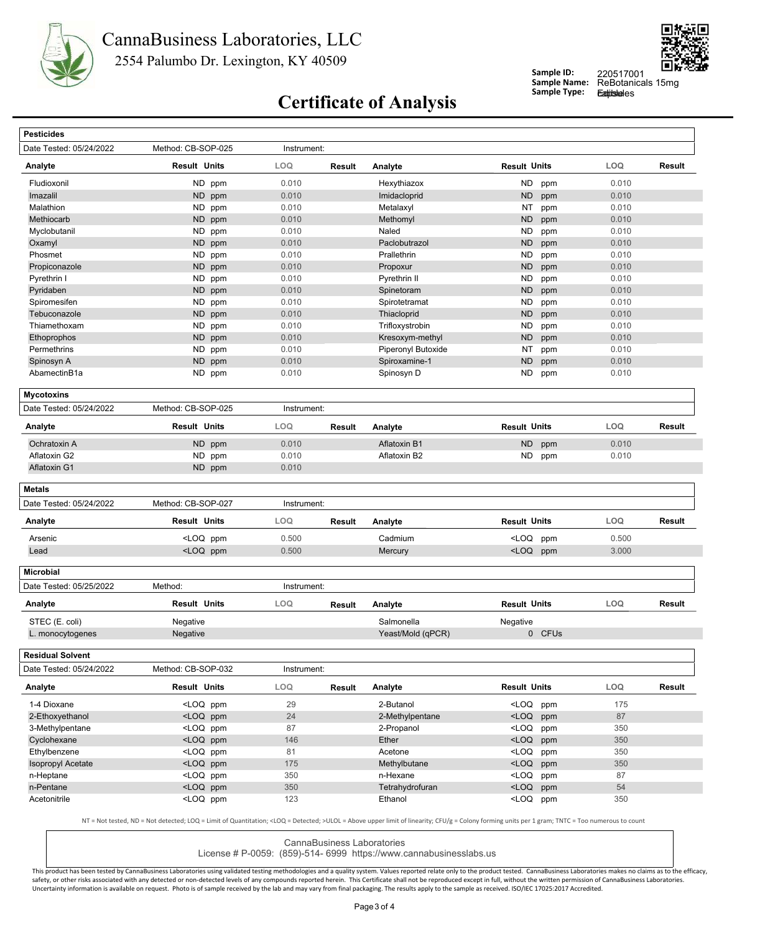



**Sample ID: Sample Name:**

220517001 <br>ReBotanicals 15mg **Eatitsle**les

## **Certificate of Analysis** Sample Type:

| Date Tested: 05/24/2022                                | Method: CB-SOP-025                                                                                                                                                                      | Instrument: |        |                     |                                                                             |        |            |               |
|--------------------------------------------------------|-----------------------------------------------------------------------------------------------------------------------------------------------------------------------------------------|-------------|--------|---------------------|-----------------------------------------------------------------------------|--------|------------|---------------|
| Analyte                                                | <b>Result Units</b>                                                                                                                                                                     | LOQ         | Result | Analyte             | <b>Result Units</b>                                                         |        | LOQ        | Result        |
| Fludioxonil                                            | ND ppm                                                                                                                                                                                  | 0.010       |        | Hexythiazox         | ND.                                                                         | ppm    | 0.010      |               |
| Imazalil                                               | ND ppm                                                                                                                                                                                  | 0.010       |        | Imidacloprid        | <b>ND</b>                                                                   | ppm    | 0.010      |               |
| Malathion                                              | ND.<br>ppm                                                                                                                                                                              | 0.010       |        | Metalaxyl           | NT                                                                          | ppm    | 0.010      |               |
| Methiocarb                                             | ND<br>ppm                                                                                                                                                                               | 0.010       |        | Methomyl            | <b>ND</b>                                                                   | ppm    | 0.010      |               |
| Myclobutanil                                           | <b>ND</b><br>ppm                                                                                                                                                                        | 0.010       |        | Naled               | <b>ND</b>                                                                   | ppm    | 0.010      |               |
| Oxamyl                                                 | <b>ND</b><br>ppm                                                                                                                                                                        | 0.010       |        | Paclobutrazol       | <b>ND</b>                                                                   | ppm    | 0.010      |               |
| Phosmet                                                | <b>ND</b><br>ppm                                                                                                                                                                        | 0.010       |        | Prallethrin         | <b>ND</b>                                                                   | ppm    | 0.010      |               |
| Propiconazole                                          | ND ppm                                                                                                                                                                                  | 0.010       |        | Propoxur            | <b>ND</b>                                                                   | ppm    | 0.010      |               |
| Pyrethrin I                                            | ND.<br>ppm                                                                                                                                                                              | 0.010       |        | Pyrethrin II        | <b>ND</b>                                                                   | ppm    | 0.010      |               |
| Pyridaben                                              | ND ppm                                                                                                                                                                                  | 0.010       |        | Spinetoram          | <b>ND</b>                                                                   | ppm    | 0.010      |               |
| Spiromesifen                                           | <b>ND</b><br>ppm                                                                                                                                                                        | 0.010       |        | Spirotetramat       | <b>ND</b>                                                                   | ppm    | 0.010      |               |
| Tebuconazole                                           | <b>ND</b><br>ppm                                                                                                                                                                        | 0.010       |        | Thiacloprid         | <b>ND</b>                                                                   | ppm    | 0.010      |               |
| Thiamethoxam                                           | <b>ND</b><br>ppm                                                                                                                                                                        | 0.010       |        | Trifloxystrobin     | <b>ND</b>                                                                   | ppm    | 0.010      |               |
| Ethoprophos                                            | ND<br>ppm                                                                                                                                                                               | 0.010       |        | Kresoxym-methyl     | <b>ND</b>                                                                   | ppm    | 0.010      |               |
| Permethrins                                            | <b>ND</b><br>ppm                                                                                                                                                                        | 0.010       |        | Piperonyl Butoxide  | NT                                                                          | ppm    | 0.010      |               |
| Spinosyn A                                             | <b>ND</b><br>ppm                                                                                                                                                                        | 0.010       |        | Spiroxamine-1       | <b>ND</b>                                                                   | ppm    | 0.010      |               |
| AbamectinB1a                                           | ND ppm                                                                                                                                                                                  | 0.010       |        | Spinosyn D          | ND                                                                          | ppm    | 0.010      |               |
|                                                        |                                                                                                                                                                                         |             |        |                     |                                                                             |        |            |               |
| <b>Mycotoxins</b>                                      |                                                                                                                                                                                         |             |        |                     |                                                                             |        |            |               |
| Date Tested: 05/24/2022                                | Method: CB-SOP-025                                                                                                                                                                      | Instrument: |        |                     |                                                                             |        |            |               |
| Analyte                                                | <b>Result Units</b>                                                                                                                                                                     | LOQ         | Result | Analyte             | <b>Result Units</b>                                                         |        | LOQ        | <b>Result</b> |
| Ochratoxin A                                           | ND<br>ppm                                                                                                                                                                               | 0.010       |        | <b>Aflatoxin B1</b> | <b>ND</b>                                                                   | ppm    | 0.010      |               |
| Aflatoxin G2                                           | ND ppm                                                                                                                                                                                  | 0.010       |        | Aflatoxin B2        | ND.                                                                         | ppm    | 0.010      |               |
| Aflatoxin G1                                           | ND ppm                                                                                                                                                                                  | 0.010       |        |                     |                                                                             |        |            |               |
| <b>Metals</b>                                          |                                                                                                                                                                                         |             |        |                     |                                                                             |        |            |               |
| Date Tested: 05/24/2022                                | Method: CB-SOP-027                                                                                                                                                                      | Instrument: |        |                     |                                                                             |        |            |               |
| Analyte                                                | <b>Result Units</b>                                                                                                                                                                     | LOQ         | Result | Analyte             | <b>Result Units</b>                                                         |        | LOQ        | Result        |
| Arsenic                                                | <loq ppm<="" td=""><td>0.500</td><td></td><td>Cadmium</td><td><loq< td=""><td>ppm</td><td>0.500</td><td></td></loq<></td></loq>                                                         | 0.500       |        | Cadmium             | <loq< td=""><td>ppm</td><td>0.500</td><td></td></loq<>                      | ppm    | 0.500      |               |
| Lead                                                   | <loq ppm<="" td=""><td>0.500</td><td></td><td>Mercury</td><td><loq ppm<="" td=""><td></td><td>3.000</td><td></td></loq></td></loq>                                                      | 0.500       |        | Mercury             | <loq ppm<="" td=""><td></td><td>3.000</td><td></td></loq>                   |        | 3.000      |               |
|                                                        |                                                                                                                                                                                         |             |        |                     |                                                                             |        |            |               |
|                                                        |                                                                                                                                                                                         |             |        |                     |                                                                             |        |            |               |
|                                                        |                                                                                                                                                                                         |             |        |                     |                                                                             |        |            |               |
|                                                        | Method:                                                                                                                                                                                 | Instrument: |        |                     |                                                                             |        |            |               |
| <b>Microbial</b><br>Date Tested: 05/25/2022<br>Analyte | <b>Result Units</b>                                                                                                                                                                     | LOQ         | Result | Analyte             | <b>Result Units</b>                                                         |        | LOQ        | Result        |
| STEC (E. coli)                                         | Negative                                                                                                                                                                                |             |        | Salmonella          | Negative                                                                    |        |            |               |
| L. monocytogenes                                       | Negative                                                                                                                                                                                |             |        | Yeast/Mold (qPCR)   |                                                                             | 0 CFUs |            |               |
| Residual Solvent                                       |                                                                                                                                                                                         |             |        |                     |                                                                             |        |            |               |
| Date Tested: 05/24/2022                                | Method: CB-SOP-032                                                                                                                                                                      | Instrument: |        |                     |                                                                             |        |            |               |
|                                                        | <b>Result Units</b>                                                                                                                                                                     | <b>LOQ</b>  | Result | Analyte             | <b>Result Units</b>                                                         |        | <b>LOQ</b> |               |
|                                                        | <loq ppm<="" td=""><td>29</td><td></td><td>2-Butanol</td><td><loq ppm<="" td=""><td></td><td>175</td><td>Result</td></loq></td></loq>                                                   | 29          |        | 2-Butanol           | <loq ppm<="" td=""><td></td><td>175</td><td>Result</td></loq>               |        | 175        | Result        |
|                                                        | <loq ppm<="" td=""><td>24</td><td></td><td>2-Methylpentane</td><td><loq ppm<="" td=""><td></td><td>87</td><td></td></loq></td></loq>                                                    | 24          |        | 2-Methylpentane     | <loq ppm<="" td=""><td></td><td>87</td><td></td></loq>                      |        | 87         |               |
| 3-Methylpentane                                        | <loq ppm<="" td=""><td>87</td><td></td><td>2-Propanol</td><td><loq ppm<="" td=""><td></td><td>350</td><td></td></loq></td></loq>                                                        | 87          |        | 2-Propanol          | <loq ppm<="" td=""><td></td><td>350</td><td></td></loq>                     |        | 350        |               |
| 1-4 Dioxane<br>Cyclohexane                             | <loq ppm<="" td=""><td>146</td><td></td><td>Ether</td><td><loq ppm<="" td=""><td></td><td>350</td><td></td></loq></td></loq>                                                            | 146         |        | Ether               | <loq ppm<="" td=""><td></td><td>350</td><td></td></loq>                     |        | 350        |               |
| Ethylbenzene                                           | <loq ppm<="" td=""><td>81</td><td></td><td>Acetone</td><td><loq ppm<="" td=""><td></td><td>350</td><td></td></loq></td></loq>                                                           | 81          |        | Acetone             | <loq ppm<="" td=""><td></td><td>350</td><td></td></loq>                     |        | 350        |               |
| 2-Ethoxyethanol<br><b>Isopropyl Acetate</b>            | <loq ppm<="" td=""><td>175</td><td></td><td>Methylbutane</td><td><loq ppm<="" td=""><td></td><td>350</td><td></td></loq></td></loq>                                                     | 175         |        | Methylbutane        | <loq ppm<="" td=""><td></td><td>350</td><td></td></loq>                     |        | 350        |               |
| Analyte                                                |                                                                                                                                                                                         |             |        | n-Hexane            |                                                                             |        | 87         |               |
| n-Heptane<br>n-Pentane                                 | <loq ppm<br=""><loq ppm<="" td=""><td>350<br/>350</td><td></td><td>Tetrahydrofuran</td><td><loq ppm<br=""><loq ppm<="" td=""><td></td><td>54</td><td></td></loq></loq></td></loq></loq> | 350<br>350  |        | Tetrahydrofuran     | <loq ppm<br=""><loq ppm<="" td=""><td></td><td>54</td><td></td></loq></loq> |        | 54         |               |

CannaBusiness Laboratories

License # P-0059: (859)-514- 6999 https://www.cannabusinesslabs.us

This product has been tested by CannaBusiness Laboratories using validated testing methodologies and a quality system. Values reported relate only to the product tested. CannaBusiness Laboratories makes no claims as to the safety, or other risks associated with any detected or non-detected levels of any compounds reported herein. This Certificate shall not be reproduced except in full, without the written permission of CannaBusiness Laborato Uncertainty information is available on request. Photo is of sample received by the lab and may vary from final packaging. The results apply to the sample as received. ISO/IEC 17025:2017 Accredited.